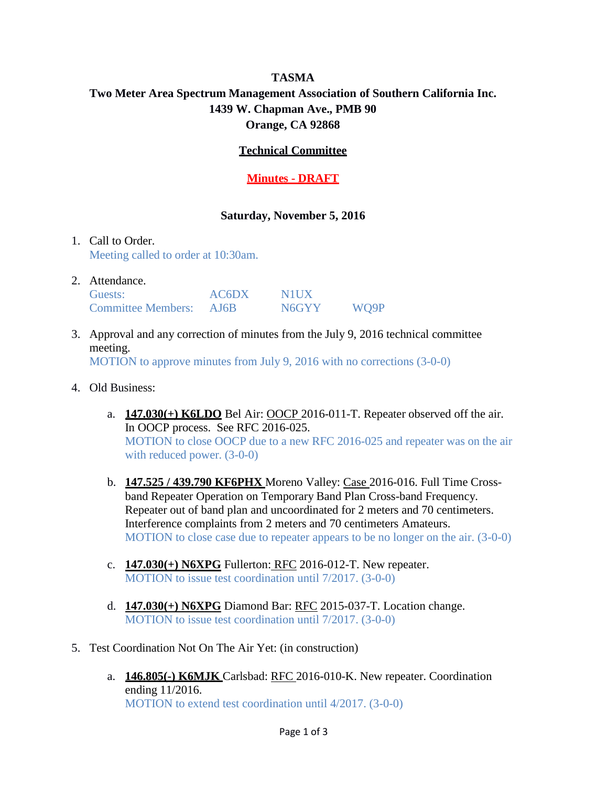# **TASMA Two Meter Area Spectrum Management Association of Southern California Inc. 1439 W. Chapman Ave., PMB 90 Orange, CA 92868**

## **Technical Committee**

# **Minutes - DRAFT**

#### **Saturday, November 5, 2016**

## 1. Call to Order. Meeting called to order at 10:30am.

| 2. Attendance.          |       |                    |      |
|-------------------------|-------|--------------------|------|
| Guests:                 | AC6DX | <b>NHIX</b>        |      |
| Committee Members: AJ6B |       | N <sub>6</sub> GYY | WO9P |

- 3. Approval and any correction of minutes from the July 9, 2016 technical committee meeting. MOTION to approve minutes from July 9, 2016 with no corrections (3-0-0)
- 4. Old Business:
	- a. **147.030(+) K6LDO** Bel Air: OOCP 2016-011-T. Repeater observed off the air. In OOCP process. See RFC 2016-025. MOTION to close OOCP due to a new RFC 2016-025 and repeater was on the air with reduced power.  $(3-0-0)$
	- b. **147.525 / 439.790 KF6PHX** Moreno Valley: Case 2016-016. Full Time Crossband Repeater Operation on Temporary Band Plan Cross-band Frequency. Repeater out of band plan and uncoordinated for 2 meters and 70 centimeters. Interference complaints from 2 meters and 70 centimeters Amateurs. MOTION to close case due to repeater appears to be no longer on the air. (3-0-0)
	- c. **147.030(+) N6XPG** Fullerton: RFC 2016-012-T. New repeater. MOTION to issue test coordination until 7/2017. (3-0-0)
	- d. **147.030(+) N6XPG** Diamond Bar: RFC 2015-037-T. Location change. MOTION to issue test coordination until 7/2017. (3-0-0)
- 5. Test Coordination Not On The Air Yet: (in construction)
	- a. **146.805(-) K6MJK** Carlsbad: RFC 2016-010-K. New repeater. Coordination ending 11/2016. MOTION to extend test coordination until 4/2017. (3-0-0)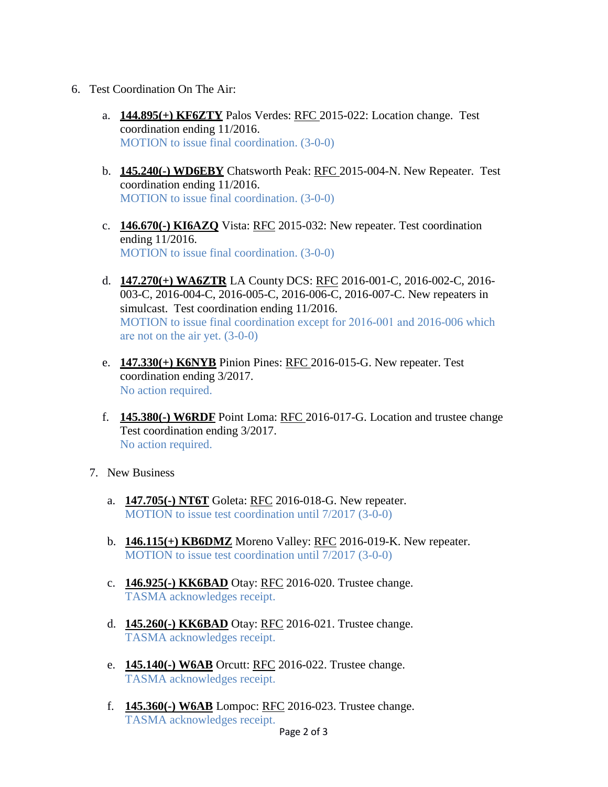- 6. Test Coordination On The Air:
	- a. **144.895(+) KF6ZTY** Palos Verdes: RFC 2015-022: Location change. Test coordination ending 11/2016. MOTION to issue final coordination. (3-0-0)
	- b. **145.240(-) WD6EBY** Chatsworth Peak: RFC 2015-004-N. New Repeater. Test coordination ending 11/2016. MOTION to issue final coordination. (3-0-0)
	- c. **146.670(-) KI6AZQ** Vista: RFC 2015-032: New repeater. Test coordination ending 11/2016. MOTION to issue final coordination. (3-0-0)
	- d. **147.270(+) WA6ZTR** LA County DCS: RFC 2016-001-C, 2016-002-C, 2016- 003-C, 2016-004-C, 2016-005-C, 2016-006-C, 2016-007-C. New repeaters in simulcast. Test coordination ending 11/2016. MOTION to issue final coordination except for 2016-001 and 2016-006 which are not on the air yet. (3-0-0)
	- e. **147.330(+) K6NYB** Pinion Pines: RFC 2016-015-G. New repeater. Test coordination ending 3/2017. No action required.
	- f. **145.380(-) W6RDF** Point Loma: RFC 2016-017-G. Location and trustee change Test coordination ending 3/2017. No action required.
	- 7. New Business
		- a. **147.705(-) NT6T** Goleta: RFC 2016-018-G. New repeater. MOTION to issue test coordination until 7/2017 (3-0-0)
		- b. **146.115(+) KB6DMZ** Moreno Valley: RFC 2016-019-K. New repeater. MOTION to issue test coordination until 7/2017 (3-0-0)
		- c. **146.925(-) KK6BAD** Otay: RFC 2016-020. Trustee change. TASMA acknowledges receipt.
		- d. **145.260(-) KK6BAD** Otay: RFC 2016-021. Trustee change. TASMA acknowledges receipt.
		- e. **145.140(-) W6AB** Orcutt: RFC 2016-022. Trustee change. TASMA acknowledges receipt.
		- f. **145.360(-) W6AB** Lompoc: RFC 2016-023. Trustee change. TASMA acknowledges receipt.